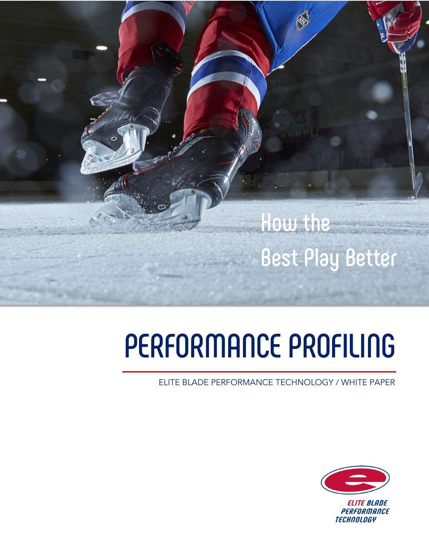

# **PERFORMANCE PROFILING**

ELITE BLADE PERFORMANCE TECHNOLOGY / WHITE PAPER

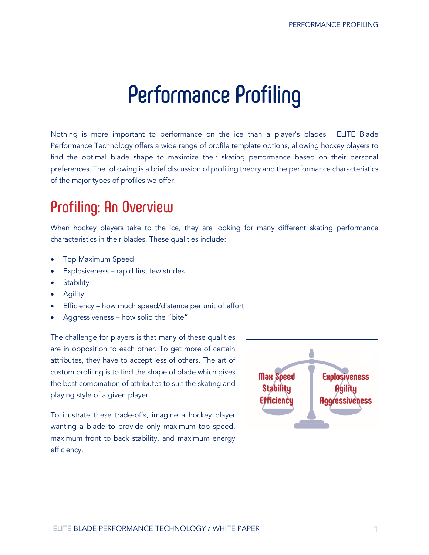# **Performance Profiling**

Nothing is more important to performance on the ice than a player's blades. ELITE Blade Performance Technology offers a wide range of profile template options, allowing hockey players to find the optimal blade shape to maximize their skating performance based on their personal preferences. The following is a brief discussion of profiling theory and the performance characteristics of the major types of profiles we offer.

# **Profiling: An Overview**

When hockey players take to the ice, they are looking for many different skating performance characteristics in their blades. These qualities include:

- Top Maximum Speed
- Explosiveness rapid first few strides
- **Stability**
- **Agility**
- Efficiency how much speed/distance per unit of effort
- Aggressiveness how solid the "bite"

The challenge for players is that many of these qualities are in opposition to each other. To get more of certain attributes, they have to accept less of others. The art of custom profiling is to find the shape of blade which gives the best combination of attributes to suit the skating and playing style of a given player.

To illustrate these trade-offs, imagine a hockey player wanting a blade to provide only maximum top speed, maximum front to back stability, and maximum energy efficiency.

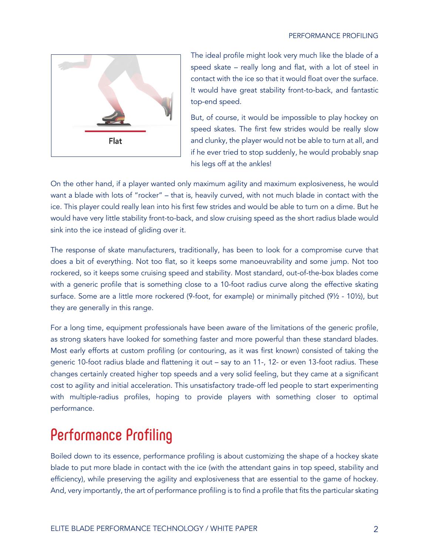

The ideal profile might look very much like the blade of a speed skate – really long and flat, with a lot of steel in contact with the ice so that it would float over the surface. It would have great stability front-to-back, and fantastic top-end speed.

But, of course, it would be impossible to play hockey on speed skates. The first few strides would be really slow and clunky, the player would not be able to turn at all, and if he ever tried to stop suddenly, he would probably snap his legs off at the ankles!

On the other hand, if a player wanted only maximum agility and maximum explosiveness, he would want a blade with lots of "rocker" – that is, heavily curved, with not much blade in contact with the ice. This player could really lean into his first few strides and would be able to turn on a dime. But he would have very little stability front-to-back, and slow cruising speed as the short radius blade would sink into the ice instead of gliding over it.

The response of skate manufacturers, traditionally, has been to look for a compromise curve that does a bit of everything. Not too flat, so it keeps some manoeuvrability and some jump. Not too rockered, so it keeps some cruising speed and stability. Most standard, out-of-the-box blades come with a generic profile that is something close to a 10-foot radius curve along the effective skating surface. Some are a little more rockered (9-foot, for example) or minimally pitched (9½ - 10½), but they are generally in this range.

For a long time, equipment professionals have been aware of the limitations of the generic profile, as strong skaters have looked for something faster and more powerful than these standard blades. Most early efforts at custom profiling (or contouring, as it was first known) consisted of taking the generic 10-foot radius blade and flattening it out – say to an 11-, 12- or even 13-foot radius. These changes certainly created higher top speeds and a very solid feeling, but they came at a significant cost to agility and initial acceleration. This unsatisfactory trade-off led people to start experimenting with multiple-radius profiles, hoping to provide players with something closer to optimal performance.

# **Performance Profiling**

Boiled down to its essence, performance profiling is about customizing the shape of a hockey skate blade to put more blade in contact with the ice (with the attendant gains in top speed, stability and efficiency), while preserving the agility and explosiveness that are essential to the game of hockey. And, very importantly, the art of performance profiling is to find a profile that fits the particular skating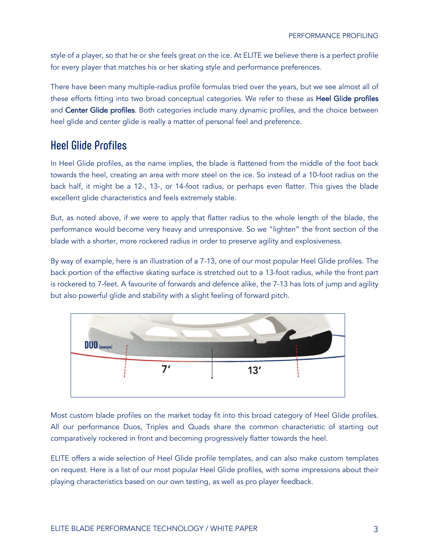style of a player, so that he or she feels great on the ice. At ELITE we believe there is a perfect profile for every player that matches his or her skating style and performance preferences.

There have been many multiple-radius profile formulas tried over the years, but we see almost all of these efforts fitting into two broad conceptual categories. We refer to these as Heel Glide profiles and Center Glide profiles. Both categories include many dynamic profiles, and the choice between heel glide and center glide is really a matter of personal feel and preference.

#### **Heel Glide Profiles**

In Heel Glide profiles, as the name implies, the blade is flattened from the middle of the foot back towards the heel, creating an area with more steel on the ice. So instead of a 10-foot radius on the back half, it might be a 12-, 13-, or 14-foot radius, or perhaps even flatter. This gives the blade excellent glide characteristics and feels extremely stable.

But, as noted above, if we were to apply that flatter radius to the whole length of the blade, the performance would become very heavy and unresponsive. So we "lighten" the front section of the blade with a shorter, more rockered radius in order to preserve agility and explosiveness.

By way of example, here is an illustration of a 7-13, one of our most popular Heel Glide profiles. The back portion of the effective skating surface is stretched out to a 13-foot radius, while the front part is rockered to 7-feet. A favourite of forwards and defence alike, the 7-13 has lots of jump and agility but also powerful glide and stability with a slight feeling of forward pitch.



Most custom blade profiles on the market today fit into this broad category of Heel Glide profiles. All our performance Duos, Triples and Quads share the common characteristic of starting out comparatively rockered in front and becoming progressively flatter towards the heel.

ELITE offers a wide selection of Heel Glide profile templates, and can also make custom templates on request. Here is a list of our most popular Heel Glide profiles, with some impressions about their playing characteristics based on our own testing, as well as pro player feedback.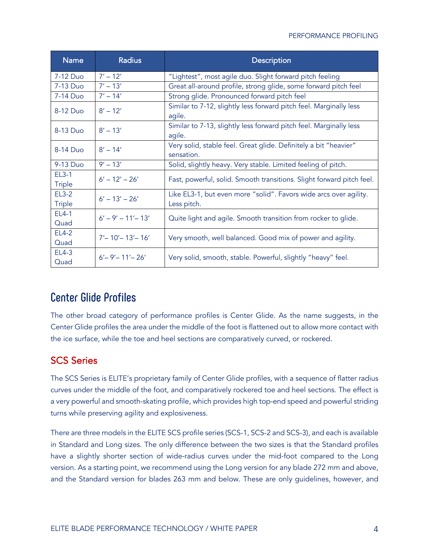#### PERFORMANCE PROFILING

| <b>Name</b>                   | <b>Radius</b>          | <b>Description</b>                                                               |
|-------------------------------|------------------------|----------------------------------------------------------------------------------|
| 7-12 Duo                      | $7' - 12'$             | "Lightest", most agile duo. Slight forward pitch feeling                         |
| 7-13 Duo                      | $7' - 13'$             | Great all-around profile, strong glide, some forward pitch feel                  |
| 7-14 Duo                      | $7' - 14'$             | Strong glide. Pronounced forward pitch feel                                      |
| 8-12 Duo                      | $8' - 12'$             | Similar to 7-12, slightly less forward pitch feel. Marginally less<br>agile.     |
| 8-13 Duo                      | $8' - 13'$             | Similar to 7-13, slightly less forward pitch feel. Marginally less<br>agile.     |
| 8-14 Duo                      | $8' - 14'$             | Very solid, stable feel. Great glide. Definitely a bit "heavier"<br>sensation.   |
| 9-13 Duo                      | $9' - 13'$             | Solid, slightly heavy. Very stable. Limited feeling of pitch.                    |
| <b>EL3-1</b><br><b>Triple</b> | $6' - 12' - 26'$       | Fast, powerful, solid. Smooth transitions. Slight forward pitch feel.            |
| $EL3-2$<br><b>Triple</b>      | $6' - 13' - 26'$       | Like EL3-1, but even more "solid". Favors wide arcs over agility.<br>Less pitch. |
| EL4-1<br>Quad                 | $6' - 9' - 11' - 13'$  | Quite light and agile. Smooth transition from rocker to glide.                   |
| <b>EL4-2</b><br>Quad          | $7'$ – 10' – 13' – 16' | Very smooth, well balanced. Good mix of power and agility.                       |
| EL4-3<br>Quad                 | $6' - 9' - 11' - 26'$  | Very solid, smooth, stable. Powerful, slightly "heavy" feel.                     |

#### **Center Glide Profiles**

The other broad category of performance profiles is Center Glide. As the name suggests, in the Center Glide profiles the area under the middle of the foot is flattened out to allow more contact with the ice surface, while the toe and heel sections are comparatively curved, or rockered.

#### SCS Series

The SCS Series is ELITE's proprietary family of Center Glide profiles, with a sequence of flatter radius curves under the middle of the foot, and comparatively rockered toe and heel sections. The effect is a very powerful and smooth-skating profile, which provides high top-end speed and powerful striding turns while preserving agility and explosiveness.

There are three models in the ELITE SCS profile series (SCS-1, SCS-2 and SCS-3), and each is available in Standard and Long sizes. The only difference between the two sizes is that the Standard profiles have a slightly shorter section of wide-radius curves under the mid-foot compared to the Long version. As a starting point, we recommend using the Long version for any blade 272 mm and above, and the Standard version for blades 263 mm and below. These are only guidelines, however, and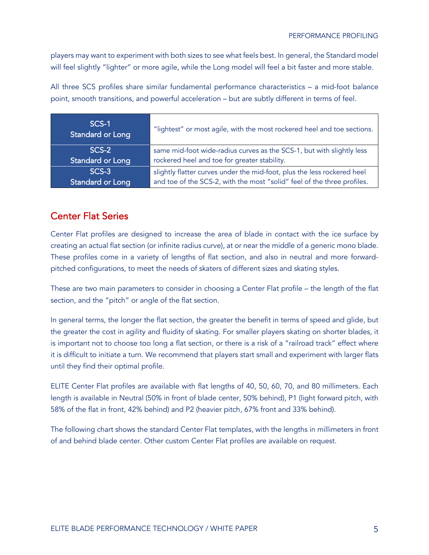players may want to experiment with both sizes to see what feels best. In general, the Standard model will feel slightly "lighter" or more agile, while the Long model will feel a bit faster and more stable.

All three SCS profiles share similar fundamental performance characteristics – a mid-foot balance point, smooth transitions, and powerful acceleration – but are subtly different in terms of feel.

| SCS-1<br><b>Standard or Long</b> | "lightest" or most agile, with the most rockered heel and toe sections. |  |
|----------------------------------|-------------------------------------------------------------------------|--|
| SCS-2                            | same mid-foot wide-radius curves as the SCS-1, but with slightly less   |  |
| Standard or Long                 | rockered heel and toe for greater stability.                            |  |
| SCS-3                            | slightly flatter curves under the mid-foot, plus the less rockered heel |  |
| Standard or Long                 | and toe of the SCS-2, with the most "solid" feel of the three profiles. |  |

#### Center Flat Series

Center Flat profiles are designed to increase the area of blade in contact with the ice surface by creating an actual flat section (or infinite radius curve), at or near the middle of a generic mono blade. These profiles come in a variety of lengths of flat section, and also in neutral and more forwardpitched configurations, to meet the needs of skaters of different sizes and skating styles.

These are two main parameters to consider in choosing a Center Flat profile – the length of the flat section, and the "pitch" or angle of the flat section.

In general terms, the longer the flat section, the greater the benefit in terms of speed and glide, but the greater the cost in agility and fluidity of skating. For smaller players skating on shorter blades, it is important not to choose too long a flat section, or there is a risk of a "railroad track" effect where it is difficult to initiate a turn. We recommend that players start small and experiment with larger flats until they find their optimal profile.

ELITE Center Flat profiles are available with flat lengths of 40, 50, 60, 70, and 80 millimeters. Each length is available in Neutral (50% in front of blade center, 50% behind), P1 (light forward pitch, with 58% of the flat in front, 42% behind) and P2 (heavier pitch, 67% front and 33% behind).

The following chart shows the standard Center Flat templates, with the lengths in millimeters in front of and behind blade center. Other custom Center Flat profiles are available on request.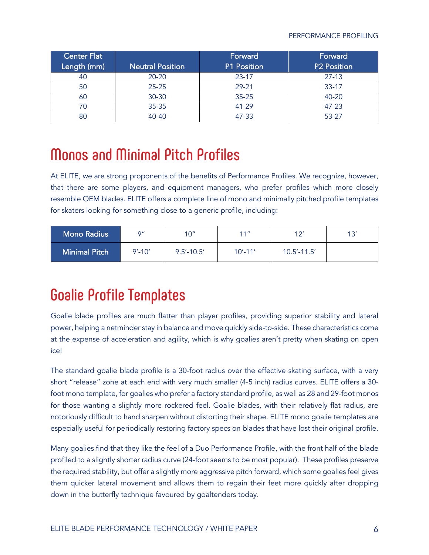| Center Flat <sup> </sup> |                         | Forward            | Forward            |
|--------------------------|-------------------------|--------------------|--------------------|
| Length (mm)              | <b>Neutral Position</b> | <b>P1 Position</b> | <b>P2 Position</b> |
| 40                       | $20 - 20$               | $23 - 17$          | $27 - 13$          |
| 50                       | $25 - 25$               | 29-21              | $33 - 17$          |
| 60                       | 30-30                   | $35 - 25$          | 40-20              |
|                          | 35-35                   | 41-29              | 47-23              |
| 80                       | 40-40                   | 47-33              | 53-27              |

# **Monos and Minimal Pitch Profiles**

At ELITE, we are strong proponents of the benefits of Performance Profiles. We recognize, however, that there are some players, and equipment managers, who prefer profiles which more closely resemble OEM blades. ELITE offers a complete line of mono and minimally pitched profile templates for skaters looking for something close to a generic profile, including:

| <b>Mono Radius</b>   | O''        | 1∩″            | 11 <sup>''</sup> | 12'             | 12' |
|----------------------|------------|----------------|------------------|-----------------|-----|
| <b>Minimal Pitch</b> | $9' - 10'$ | $9.5' - 10.5'$ | $10' - 11'$      | $10.5' - 11.5'$ |     |

## **Goalie Profile Templates**

Goalie blade profiles are much flatter than player profiles, providing superior stability and lateral power, helping a netminder stay in balance and move quickly side-to-side. These characteristics come at the expense of acceleration and agility, which is why goalies aren't pretty when skating on open ice!

The standard goalie blade profile is a 30-foot radius over the effective skating surface, with a very short "release" zone at each end with very much smaller (4-5 inch) radius curves. ELITE offers a 30 foot mono template, for goalies who prefer a factory standard profile, as well as 28 and 29-foot monos for those wanting a slightly more rockered feel. Goalie blades, with their relatively flat radius, are notoriously difficult to hand sharpen without distorting their shape. ELITE mono goalie templates are especially useful for periodically restoring factory specs on blades that have lost their original profile.

Many goalies find that they like the feel of a Duo Performance Profile, with the front half of the blade profiled to a slightly shorter radius curve (24-foot seems to be most popular). These profiles preserve the required stability, but offer a slightly more aggressive pitch forward, which some goalies feel gives them quicker lateral movement and allows them to regain their feet more quickly after dropping down in the butterfly technique favoured by goaltenders today.